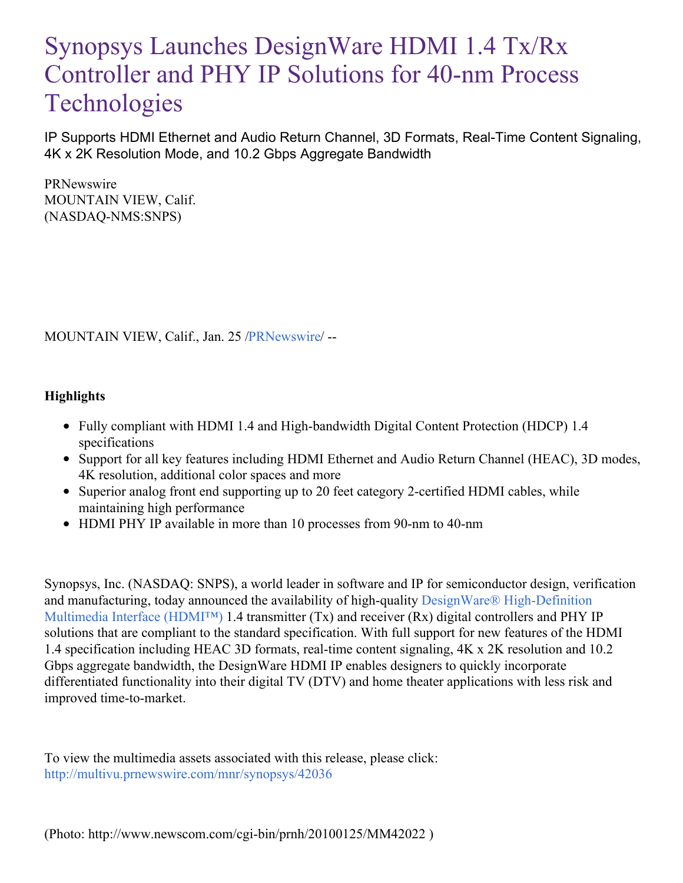# Synopsys Launches DesignWare HDMI 1.4 Tx/Rx Controller and PHY IP Solutions for 40-nm Process **Technologies**

IP Supports HDMI Ethernet and Audio Return Channel, 3D Formats, Real-Time Content Signaling, 4K x 2K Resolution Mode, and 10.2 Gbps Aggregate Bandwidth

PRNewswire MOUNTAIN VIEW, Calif. (NASDAQ-NMS:SNPS)

MOUNTAIN VIEW, Calif., Jan. 25 [/PRNewswire](http://www.prnewswire.com/)/ --

## **Highlights**

- Fully compliant with HDMI 1.4 and High-bandwidth Digital Content Protection (HDCP) 1.4 specifications
- Support for all key features including HDMI Ethernet and Audio Return Channel (HEAC), 3D modes, 4K resolution, additional color spaces and more
- Superior analog front end supporting up to 20 feet category 2-certified HDMI cables, while maintaining high performance
- HDMI PHY IP available in more than 10 processes from 90-nm to 40-nm

Synopsys, Inc. (NASDAQ: SNPS), a world leader in software and IP for semiconductor design, verification and manufacturing, today announced the availability of high-quality DesignWare® [High-Definition](http://www.synopsys.com/IP/InterfaceIP/HDMI Solutions/Pages/default.aspx) Multimedia Interface (HDMI™) 1.4 transmitter (Tx) and receiver (Rx) digital controllers and PHY IP solutions that are compliant to the standard specification. With full support for new features of the HDMI 1.4 specification including HEAC 3D formats, real-time content signaling, 4K x 2K resolution and 10.2 Gbps aggregate bandwidth, the DesignWare HDMI IP enables designers to quickly incorporate differentiated functionality into their digital TV (DTV) and home theater applications with less risk and improved time-to-market.

To view the multimedia assets associated with this release, please click: <http://multivu.prnewswire.com/mnr/synopsys/42036>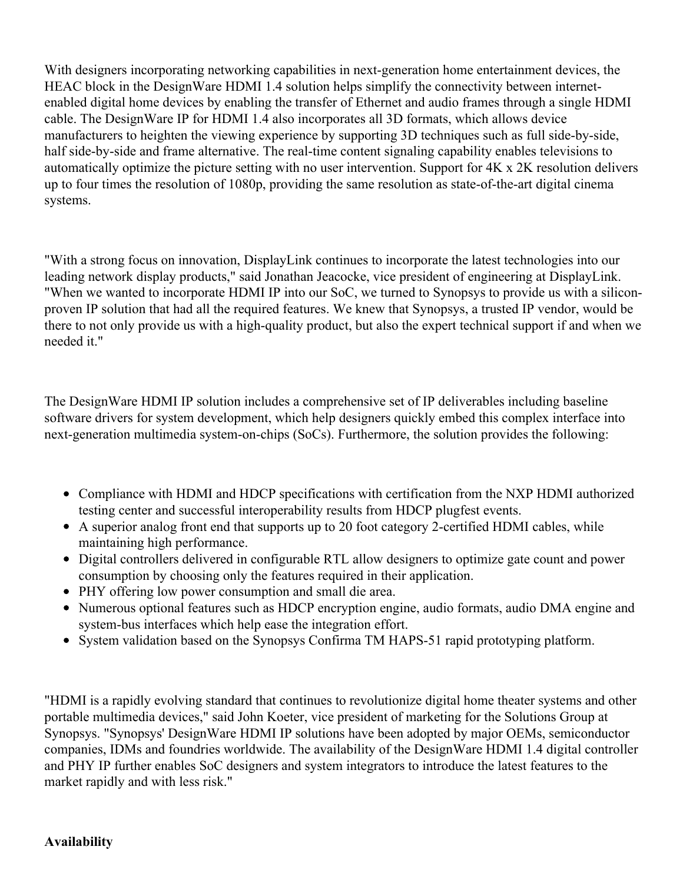With designers incorporating networking capabilities in next-generation home entertainment devices, the HEAC block in the DesignWare HDMI 1.4 solution helps simplify the connectivity between internetenabled digital home devices by enabling the transfer of Ethernet and audio frames through a single HDMI cable. The DesignWare IP for HDMI 1.4 also incorporates all 3D formats, which allows device manufacturers to heighten the viewing experience by supporting 3D techniques such as full side-by-side, half side-by-side and frame alternative. The real-time content signaling capability enables televisions to automatically optimize the picture setting with no user intervention. Support for 4K x 2K resolution delivers up to four times the resolution of 1080p, providing the same resolution as state-of-the-art digital cinema systems.

"With a strong focus on innovation, DisplayLink continues to incorporate the latest technologies into our leading network display products," said Jonathan Jeacocke, vice president of engineering at DisplayLink. "When we wanted to incorporate HDMI IP into our SoC, we turned to Synopsys to provide us with a siliconproven IP solution that had all the required features. We knew that Synopsys, a trusted IP vendor, would be there to not only provide us with a high-quality product, but also the expert technical support if and when we needed it."

The DesignWare HDMI IP solution includes a comprehensive set of IP deliverables including baseline software drivers for system development, which help designers quickly embed this complex interface into next-generation multimedia system-on-chips (SoCs). Furthermore, the solution provides the following:

- Compliance with HDMI and HDCP specifications with certification from the NXP HDMI authorized testing center and successful interoperability results from HDCP plugfest events.
- A superior analog front end that supports up to 20 foot category 2-certified HDMI cables, while maintaining high performance.
- Digital controllers delivered in configurable RTL allow designers to optimize gate count and power consumption by choosing only the features required in their application.
- PHY offering low power consumption and small die area.
- Numerous optional features such as HDCP encryption engine, audio formats, audio DMA engine and system-bus interfaces which help ease the integration effort.
- System validation based on the Synopsys Confirma TM HAPS-51 rapid prototyping platform.

"HDMI is a rapidly evolving standard that continues to revolutionize digital home theater systems and other portable multimedia devices," said John Koeter, vice president of marketing for the Solutions Group at Synopsys. "Synopsys' DesignWare HDMI IP solutions have been adopted by major OEMs, semiconductor companies, IDMs and foundries worldwide. The availability of the DesignWare HDMI 1.4 digital controller and PHY IP further enables SoC designers and system integrators to introduce the latest features to the market rapidly and with less risk."

## **Availability**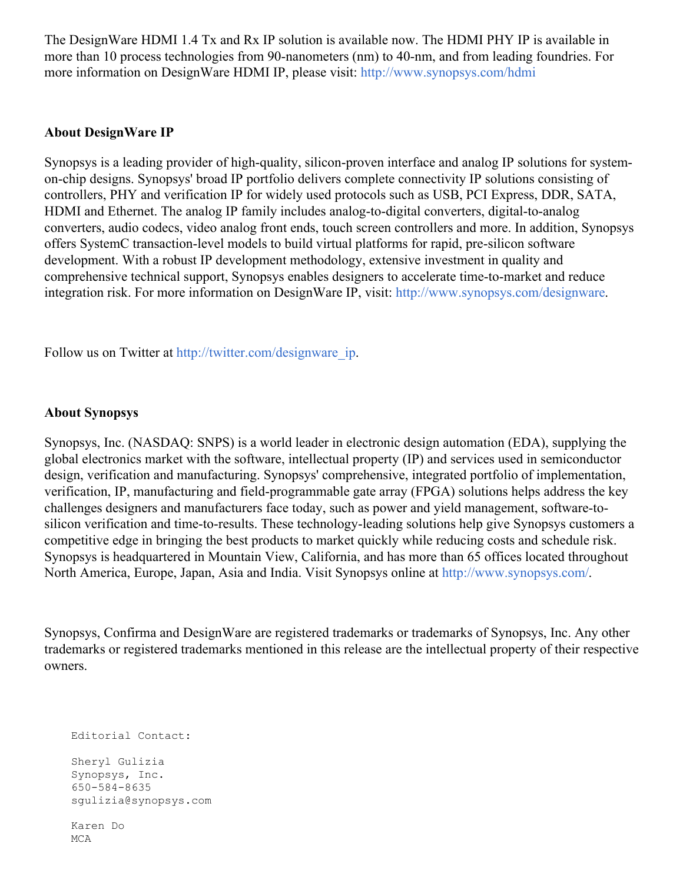The DesignWare HDMI 1.4 Tx and Rx IP solution is available now. The HDMI PHY IP is available in more than 10 process technologies from 90-nanometers (nm) to 40-nm, and from leading foundries. For more information on DesignWare HDMI IP, please visit: <http://www.synopsys.com/hdmi>

#### **About DesignWare IP**

Synopsys is a leading provider of high-quality, silicon-proven interface and analog IP solutions for systemon-chip designs. Synopsys' broad IP portfolio delivers complete connectivity IP solutions consisting of controllers, PHY and verification IP for widely used protocols such as USB, PCI Express, DDR, SATA, HDMI and Ethernet. The analog IP family includes analog-to-digital converters, digital-to-analog converters, audio codecs, video analog front ends, touch screen controllers and more. In addition, Synopsys offers SystemC transaction-level models to build virtual platforms for rapid, pre-silicon software development. With a robust IP development methodology, extensive investment in quality and comprehensive technical support, Synopsys enables designers to accelerate time-to-market and reduce integration risk. For more information on DesignWare IP, visit: <http://www.synopsys.com/designware>.

Follow us on Twitter at [http://twitter.com/designware\\_ip](http://twitter.com/designware_ip).

#### **About Synopsys**

Synopsys, Inc. (NASDAQ: SNPS) is a world leader in electronic design automation (EDA), supplying the global electronics market with the software, intellectual property (IP) and services used in semiconductor design, verification and manufacturing. Synopsys' comprehensive, integrated portfolio of implementation, verification, IP, manufacturing and field-programmable gate array (FPGA) solutions helps address the key challenges designers and manufacturers face today, such as power and yield management, software-tosilicon verification and time-to-results. These technology-leading solutions help give Synopsys customers a competitive edge in bringing the best products to market quickly while reducing costs and schedule risk. Synopsys is headquartered in Mountain View, California, and has more than 65 offices located throughout North America, Europe, Japan, Asia and India. Visit Synopsys online at <http://www.synopsys.com/>.

Synopsys, Confirma and DesignWare are registered trademarks or trademarks of Synopsys, Inc. Any other trademarks or registered trademarks mentioned in this release are the intellectual property of their respective owners.

Editorial Contact: Sheryl Gulizia Synopsys, Inc. 650-584-8635 sgulizia@synopsys.com Karen Do

MCA